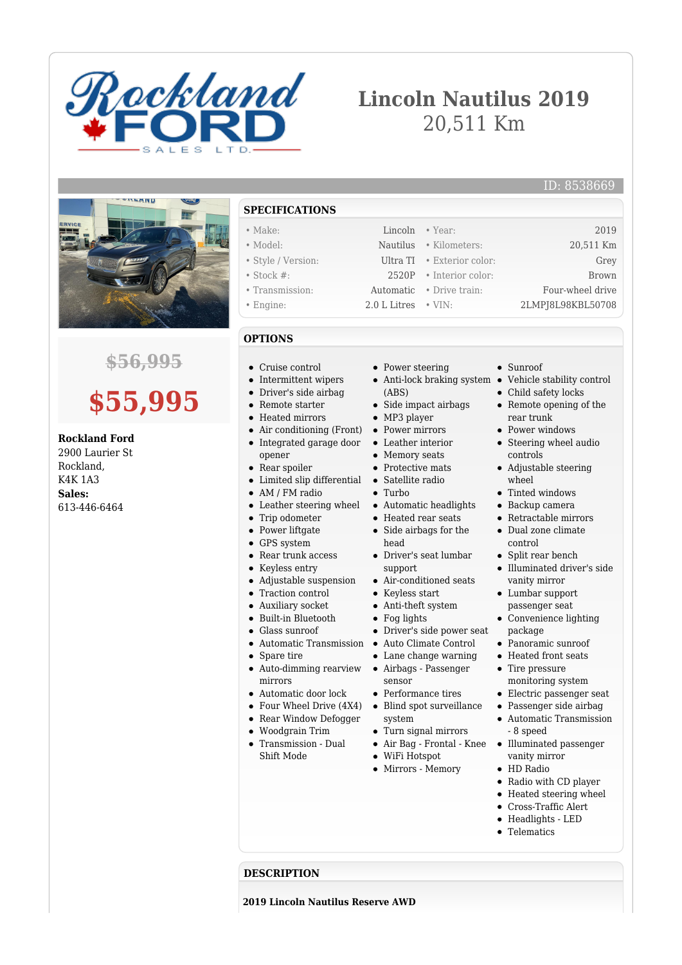

# **Lincoln Nautilus 2019** 20,511 Km

### ID: 8538669



## **\$56,995**

# **\$55,995**

**Rockland Ford** 2900 Laurier St Rockland, K4K 1A3 **Sales:** 613-446-6464

**SPECIFICATIONS**

- 
- 
- 
- 

## **OPTIONS**

- Cruise control
- Intermittent wipers
- Driver's side airbag
- Remote starter
- Heated mirrors
- Air conditioning (Front) Power mirrors
- Integrated garage door opener
- Rear spoiler
- Limited slip differential
- AM / FM radio
- Leather steering wheel
- $\bullet$ Trip odometer
- Power liftgate
- GPS system
- Rear trunk access
- Keyless entry
- Adjustable suspension  $\bullet$
- $\bullet$ Traction control
- Auxiliary socket
- Built-in Bluetooth  $\bullet$
- Glass sunroof
	- Automatic Transmission
- Spare tire
- Auto-dimming rearview mirrors
- Automatic door lock
- Four Wheel Drive (4X4)
- Rear Window Defogger
- Woodgrain Trim
- $\bullet$ Transmission - Dual Shift Mode
- Power steering
- Anti-lock braking system Vehicle stability control (ABS)
- Side impact airbags
- MP3 player
- 
- Leather interior
- Memory seats
- Protective mats
- Satellite radio
- Turbo
- Automatic headlights
- Heated rear seats • Side airbags for the
- head Driver's seat lumbar
- support Air-conditioned seats
- Keyless start
- Anti-theft system
- Fog lights
- Driver's side power seat
- Auto Climate Control
- Lane change warning
- Airbags Passenger sensor
- Performance tires
- Blind spot surveillance system
- Turn signal mirrors
- Air Bag Frontal Knee
- WiFi Hotspot
- $\bullet$  Mirrors Memory
- monitoring system Electric passenger seat
- Passenger side airbag
- Automatic Transmission - 8 speed
- Illuminated passenger vanity mirror
	- HD Radio
- Radio with CD player
- Heated steering wheel
- Cross-Traffic Alert
- Headlights LED • Telematics

**DESCRIPTION**

**2019 Lincoln Nautilus Reserve AWD**

• Make: Lincoln • Year: 2019 • Model: Nautilus • Kilometers: 20,511 Km • Style / Version: Ultra TI • Exterior color: Grey • Stock #: 2520P • Interior color: Brown • Transmission: Automatic • Drive train: Four-wheel drive

• Engine: 2.0 L Litres • VIN: 2LMPJ8L98KBL50708

Child safety locks

• Sunroof

- Remote opening of the rear trunk
- Power windows
- Steering wheel audio controls
- Adjustable steering wheel
- Tinted windows
- Backup camera
- Retractable mirrors
- Dual zone climate control
- Split rear bench
- Illuminated driver's side vanity mirror
- Lumbar support passenger seat
- Convenience lighting package
- Panoramic sunroof
- Heated front seats

• Tire pressure